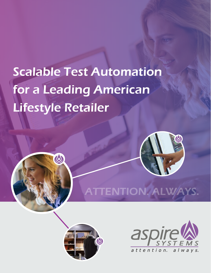# Scalable Test Automation for a Leading American Lifestyle Retailer

A



# ATTENTION. ALWAYS.



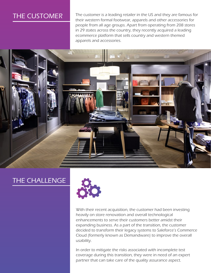# THE CUSTOMER

The customer is a leading retailer in the US and they are famous for their western formal footwear, apparels and other accessories for people from all age groups. Apart from operating from 208 stores in 29 states across the country, they recently acquired a leading ecommerce platform that sells country and western themed apparels and accessories.



## THE CHALLENGE



With their recent acquisition, the customer had been investing heavily on store renovation and overall technological enhancements to serve their customers better amidst their expanding business. As a part of the transition, the customer decided to transform their legacy systems to Saleforce's Commerce Cloud (formerly known as Demandware) to improve the overall usability.

In order to mitigate the risks associated with incomplete test coverage during this transition, they were in need of an expert partner that can take care of the quality assurance aspect.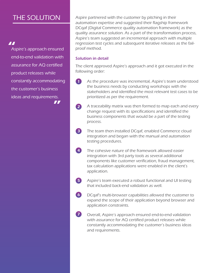# THE SOLUTION

#### 77

Aspire's approach ensured end-to-end validation with assurance for AQ certified product releases while constantly accommodating the customer's business ideas and requirements. 77

Aspire partnered with the customer by pitching in their automation expertise and suggested their flagship framework DCqaf (Digital Commerce quality automation framework) as the quality assurance solution. As a part of the transformation process, Aspire's team suggested an incremental approach with multiple regression test cycles and subsequent iterative releases as the failproof method.

#### Solution in detail

The client approved Aspire's approach and it got executed in the following order:

- $\bf G$ As the procedure was incremental, Aspire's team understood the business needs by conducting workshops with the stakeholders and identified the most relevant test cases to be prioritized as per the requirement.
- 2 A traceability matrix was then formed to map each and every change request with its specifications and identified the business components that would be a part of the testing process.
- The team then installed DCqaf, enabled Commerce cloud integration and began with the manual and automation testing procedures. 3
- The cohesive nature of the framework allowed easier integration with 3rd party tools as several additional components like customer verification, fraud management, tax calculation applications were enabled in the client's application. 4
- Aspire's team executed a robust functional and UI testing that included back-end validation as well. 5
- DCqaf's multi-browser capabilities allowed the customer to expand the scope of their application beyond browser and application constraints. 6
- Overall, Aspire's approach ensured end-to-end validation with assurance for AQ certified product releases while constantly accommodating the customer's business ideas and requirements.  $\bullet$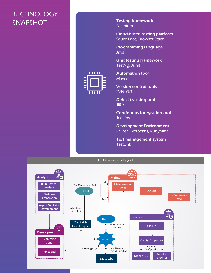# **TECHNOLOGY SNAPSHOT**

Testing framework Selenium

Cloud-based testing platform Sauce Labs, Browser Stack

Programming language Java

Unit testing framework TestNg, Junit



Maven Version control tools

Automation tool

SVN, GIT

Defect tracking tool **JIRA** 

Continuous Integration tool **Jenkins** 

Development Environment Eclipse, Netbeans, RubyMine

Test management system TestLink

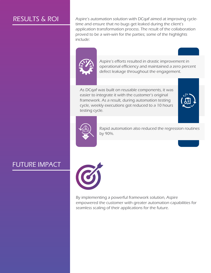RESULTS & ROI Aspire's automation solution with DCqaf aimed at improving cycletime and ensure that no bugs get leaked during the client's application transformation process. The result of the collaboration proved to be a win-win for the parties; some of the highlights include:



Aspire's efforts resulted in drastic improvement in operational efficiency and maintained a zero percent defect leakage throughout the engagement.

As DCqaf was built on reusable components, it was easier to integrate it with the customer's original framework. As a result, during automation testing cycle, weekly executions got reduced to a 10 hours testing cycle.





Rapid automation also reduced the regression routines by 90%.

## FUTURE IMPACT



By implementing a powerful framework solution, Aspire empowered the customer with greater automation capabilities for seamless scaling of their applications for the future.